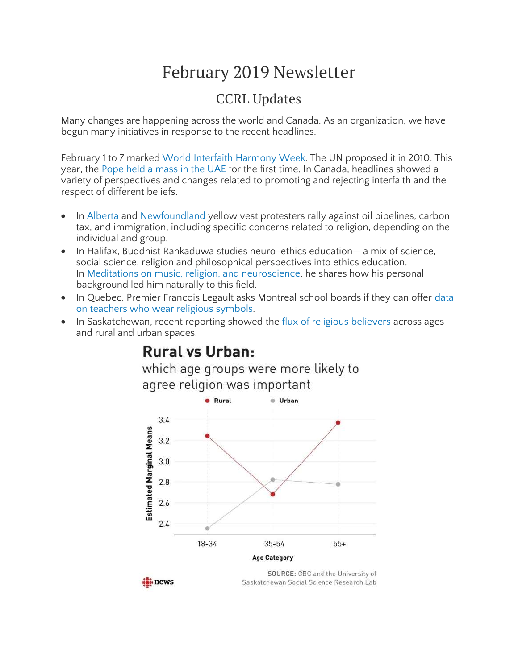# February 2019 Newsletter

### CCRL Updates

Many changes are happening across the world and Canada. As an organization, we have begun many initiatives in response to the recent headlines.

February 1 to 7 marked World Interfaith [Harmony](http://www.un.org/en/events/interfaithharmonyweek/) Week. The UN proposed it in 2010. This year, the Pope held a [mass](https://www.thenational.ae/uae/the-pope-in-the-uae/papal-visit-pope-francis-in-abu-dhabi-to-mark-a-historic-day-for-inter-faith-relations-as-it-happened-1.821471) in the UAE for the first time. In Canada, headlines showed a variety of perspectives and changes related to promoting and rejecting interfaith and the respect of different beliefs.

- In [Alberta](https://www.cbc.ca/news/canada/calgary/alberta-yellow-vest-protests-1.4938333) and [Newfoundland](https://www.thewesternstar.com/news/local/anti-immigration-protesters-take-to-streets-in-st-johns-275446/) yellow vest protesters rally against oil pipelines, carbon tax, and immigration, including specific concerns related to religion, depending on the individual and group.
- In Halifax, Buddhist Rankaduwa studies neuro-ethics education— a mix of science, social science, religion and philosophical perspectives into ethics education. In Meditations on music, religion, and [neuroscience,](https://www.thecoast.ca/halifax/meditations-on-music-religion-and-neuroscience/Content?oid=20266535) he shares how his personal background led him naturally to this field.
- In Quebec, Premier Francois Legault asks Montreal school boards if they can offer [data](https://montrealgazette.com/news/local-news/schools-surveyed-on-religious-symbols-who-answered-who-didnt) on teachers who wear religious [symbols.](https://montrealgazette.com/news/local-news/schools-surveyed-on-religious-symbols-who-answered-who-didnt)
- In Saskatchewan, recent reporting showed the flux of religious [believers](https://www.cbc.ca/news/canada/saskatchewan/saskatchewan-religion-survey-1.4981055) across ages and rural and urban spaces.

## **Rural vs Urban:**



which age groups were more likely to

do news

SOURCE: CBC and the University of Saskatchewan Social Science Research Lab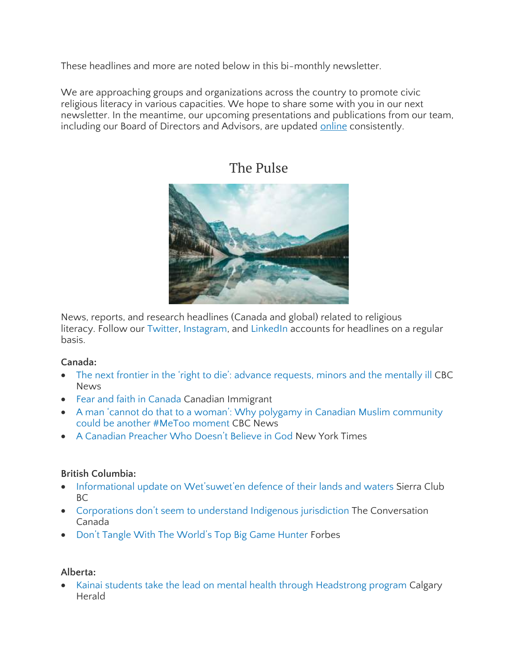These headlines and more are noted below in this bi-monthly newsletter.

We are approaching groups and organizations across the country to promote civic religious literacy in various capacities. We hope to share some with you in our next newsletter. In the meantime, our upcoming presentations and publications from our team, including our Board of Directors and Advisors, are updated [online](https://ccrl-clrc.ca/work/our-research-publications/) consistently.

### The Pulse



News, reports, and research headlines (Canada and global) related to religious literacy. Follow our [Twitter,](https://twitter.com/CcrlClrc) [Instagram,](https://www.instagram.com/ccrl.clrc/) and [LinkedIn](https://www.linkedin.com/company/ccrl-clrc/) accounts for headlines on a regular basis.

#### **Canada:**

- The next frontier in the 'right to die': advance [requests,](https://www.cbc.ca/news/politics/maid-assisted-death-minors-mental-illness-1.4956388) minors and the mentally ill CBC News
- Fear and faith in [Canada](https://canadianimmigrant.ca/living/culture/fear-and-faith-in-canada) Canadian Immigrant
- A man 'cannot do that to a woman': Why polygamy in Canadian Muslim [community](https://www.cbc.ca/news/canada/polygamy-canadian-muslim-community-1.4971971) could be another #MeToo [moment](https://www.cbc.ca/news/canada/polygamy-canadian-muslim-community-1.4971971) CBC News
- A [Canadian](https://www.nytimes.com/2019/02/01/world/canada/gretta-vosper-reverend-atheism.html) Preacher Who Doesn't Believe in God New York Times

#### **British Columbia:**

- Informational update on [Wet'suwet'en](https://sierraclub.bc.ca/update-on-wetsuweten-defence-of-their-lands-and-waters/) defence of their lands and waters Sierra Club BC
- [Corporations](https://theconversation.com/corporations-dont-seem-to-understand-indigenous-jurisdiction-109608) don't seem to understand Indigenous jurisdiction The Conversation Canada
- Don't Tangle With The [World's](https://www.forbes.com/sites/elizabethmacbride/2019/01/31/dont-tangle-with-the-worlds-top-big-game-hunter/#7fbc20767773) Top Big Game Hunter Forbes

#### **Alberta:**

• Kainai students take the lead on mental health through [Headstrong](https://calgaryherald.com/news/local-news/kainai-students-take-the-lead-on-mental-health-through-headstrong-program) program Calgary Herald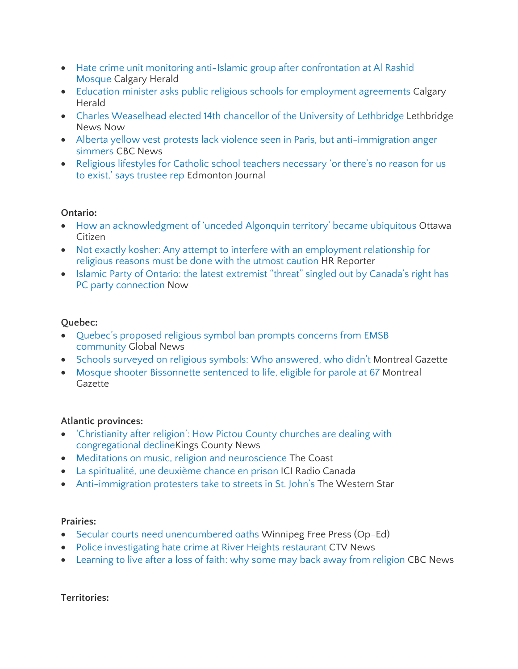- Hate crime unit monitoring anti-Islamic group after [confrontation](https://calgaryherald.com/news/crime/hate-crime-unit-monitoring-anti-islamic-group-after-confrontation-al-rashid-mosque/wcm/d3bfe957-1a24-4007-8844-1eb403394c3c) at Al Rashid [Mosque](https://calgaryherald.com/news/crime/hate-crime-unit-monitoring-anti-islamic-group-after-confrontation-al-rashid-mosque/wcm/d3bfe957-1a24-4007-8844-1eb403394c3c) Calgary Herald
- Education minister asks public religious schools for [employment](https://calgaryherald.com/news/local-news/education-minister-asks-public-religious-schools-for-employment-agreements/wcm/e7c427a9-7faa-4f7e-8360-fa45655fa20a) agreements Calgary Herald
- Charles [Weaselhead](https://lethbridgenewsnow.com/article/632546/charles-weaselhead-elected-14th-chancellor-university-lethbridge) elected 14th chancellor of the University of Lethbridge Lethbridge News Now
- Alberta yellow vest protests lack violence seen in Paris, but [anti-immigration](https://www.cbc.ca/news/canada/calgary/alberta-yellow-vest-protests-1.4938333) anger [simmers](https://www.cbc.ca/news/canada/calgary/alberta-yellow-vest-protests-1.4938333) CBC News
- Religious lifestyles for Catholic school teachers [necessary](https://edmontonjournal.com/news/local-news/religious-lifestyles-for-catholic-school-teachers-necessary-or-theres-no-reason-for-us-to-exist-says-trustee-rep) 'or there's no reason for us to exist,' says [trustee](https://edmontonjournal.com/news/local-news/religious-lifestyles-for-catholic-school-teachers-necessary-or-theres-no-reason-for-us-to-exist-says-trustee-rep) rep Edmonton Journal

#### **Ontario:**

- How an [acknowledgment](https://ottawacitizen.com/news/local-news/how-an-acknowledgment-of-unceded-algonquin-territory-became-ubiquitous) of 'unceded Algonquin territory' became ubiquitous Ottawa Citizen
- Not exactly kosher: Any attempt to interfere with an [employment](https://www.hrreporter.com/columnist/canadian-hr-law/archive/2019/01/14/not-exactly-kosher/) relationship for [religious](https://www.hrreporter.com/columnist/canadian-hr-law/archive/2019/01/14/not-exactly-kosher/) reasons must be done with the utmost caution HR Reporter
- Islamic Party of Ontario: the latest [extremist](https://nowtoronto.com/news/islamic-party-of-ontario-pc-party-doug-ford/) "threat" singled out by Canada's right has PC party [connection](https://nowtoronto.com/news/islamic-party-of-ontario-pc-party-doug-ford/) Now

#### **Quebec:**

- Quebec's [proposed](https://globalnews.ca/news/4932310/english-montreal-school-board-meeting-religious-symbols/) religious symbol ban prompts concerns from EMSB [community](https://globalnews.ca/news/4932310/english-montreal-school-board-meeting-religious-symbols/) Global News
- Schools surveyed on religious symbols: Who [answered,](https://montrealgazette.com/news/local-news/schools-surveyed-on-religious-symbols-who-answered-who-didnt) who didn't Montreal Gazette
- Mosque shooter [Bissonnette](https://montrealgazette.com/news/local-news/quebec-mosque-shooter-alexandre-bissonnette-sentenced-to-40-years) sentenced to life, eligible for parole at 67 Montreal Gazette

#### **Atlantic provinces:**

- ['Christianity](https://www.kingscountynews.ca/living/christianity-after-religion-how-pictou-county-churches-are-dealing-with-congregational-decline-274266/) after religion': How Pictou County churches are dealing with [congregational](https://www.kingscountynews.ca/living/christianity-after-religion-how-pictou-county-churches-are-dealing-with-congregational-decline-274266/) declineKings County News
- Meditations on music, religion and [neuroscience](https://www.thecoast.ca/halifax/meditations-on-music-religion-and-neuroscience/Content?oid=20266535) The Coast
- La [spiritualité,](https://ici.radio-canada.ca/nouvelle/1144817/spiritualite-deuxieme-chance-prison-penitencier-dorchester-nouveau-brunswick) une deuxième chance en prison ICI Radio Canada
- [Anti-immigration](https://www.thewesternstar.com/news/local/anti-immigration-protesters-take-to-streets-in-st-johns-275446/) protesters take to streets in St. John's The Western Star

#### **Prairies:**

- Secular courts need [unencumbered](https://www.winnipegfreepress.com/opinion/editorials/secular-courts-need-unencumbered-oaths-505153852.html) oaths Winnipeg Free Press (Op-Ed)
- Police [investigating](https://winnipeg.ctvnews.ca/police-investigating-hate-crime-at-river-heights-restaurant-1.4282716) hate crime at River Heights restaurant CTV News
- [Learning](https://www.cbc.ca/news/canada/saskatchewan/saskatchewan-religion-survey-1.4981055) to live after a loss of faith: why some may back away from religion CBC News

#### **Territories:**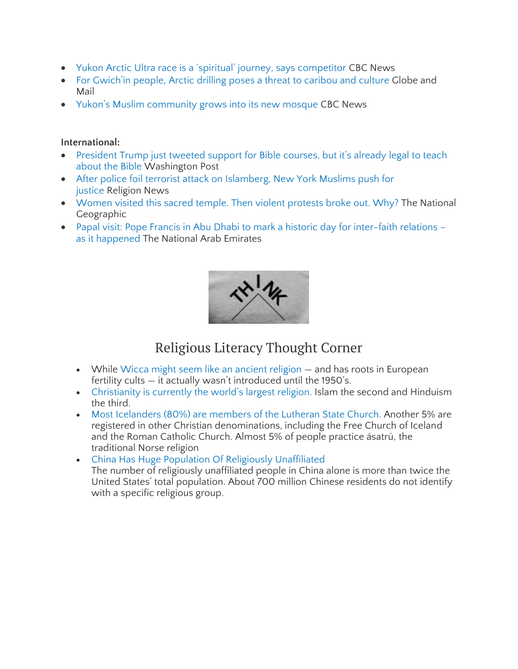- Yukon Arctic Ultra race is a 'spiritual' journey, says [competitor](https://www.cbc.ca/news/canada/north/yukon-arctic-ultra-race-2019-1.5004355) CBC News
- For [Gwich'in](https://www.theglobeandmail.com/canada/article-for-gwichin-people-arctic-drilling-poses-a-threat-to-caribou-and/) people, Arctic drilling poses a threat to caribou and culture Globe and Mail
- Yukon's Muslim [community](https://www.cbc.ca/news/canada/north/yukon-whitehorse-muslim-mosque-first-year-1.4953059) grows into its new mosque CBC News

#### **International:**

- [President](https://www.washingtonpost.com/religion/2019/01/30/president-trump-just-tweeted-support-bible-courses-its-already-legal-teach-about-bible/?utm_term=.726348468727) Trump just tweeted support for Bible courses, but it's already legal to teach [about](https://www.washingtonpost.com/religion/2019/01/30/president-trump-just-tweeted-support-bible-courses-its-already-legal-teach-about-bible/?utm_term=.726348468727) the Bible Washington Post
- After police foil terrorist attack on [Islamberg,](https://religionnews.com/2019/01/24/after-police-foil-terrorist-attack-on-islamberg-new-york-muslims-push-for-justice/) New York Muslims push for [justice](https://religionnews.com/2019/01/24/after-police-foil-terrorist-attack-on-islamberg-new-york-muslims-push-for-justice/) Religion News
- [Women](https://www.nationalgeographic.com/culture/2019/01/sabarimala-temple-india-kerala-protests/) visited this sacred temple. Then violent protests broke out. Why? The National Geographic
- Papal visit: Pope Francis in Abu Dhabi to mark a historic day for [inter-faith](https://www.thenational.ae/uae/the-pope-in-the-uae/papal-visit-pope-francis-in-abu-dhabi-to-mark-a-historic-day-for-inter-faith-relations-as-it-happened-1.821471) relations as it [happened](https://www.thenational.ae/uae/the-pope-in-the-uae/papal-visit-pope-francis-in-abu-dhabi-to-mark-a-historic-day-for-inter-faith-relations-as-it-happened-1.821471) The National Arab Emirates



### Religious Literacy Thought Corner

- While Wicca might seem like an ancient [religion](https://www.dosomething.org/us/facts/11-facts-about-world-religions) and has roots in European fertility cults — it actually wasn't introduced until the 1950's.
- [Christianity](https://www.dosomething.org/us/facts/11-facts-about-world-religions) is currently the world's largest religion. Islam the second and Hinduism the third.
- Most [Icelanders](https://www.iceland.is/the-big-picture/quick-facts) (80%) are members of the Lutheran State Church. Another 5% are registered in other Christian denominations, including the Free Church of Iceland and the Roman Catholic Church. Almost 5% of people practice ásatrú, the traditional Norse religion
- China Has Huge Population Of Religiously [Unaffiliated](https://www.huffingtonpost.ca/entry/10-facts-global-religion_n_4117341?ec_carp=4449310763651717656) The number of religiously unaffiliated people in China alone is more than twice the United States' total population. About 700 million Chinese residents do not identify with a specific religious group.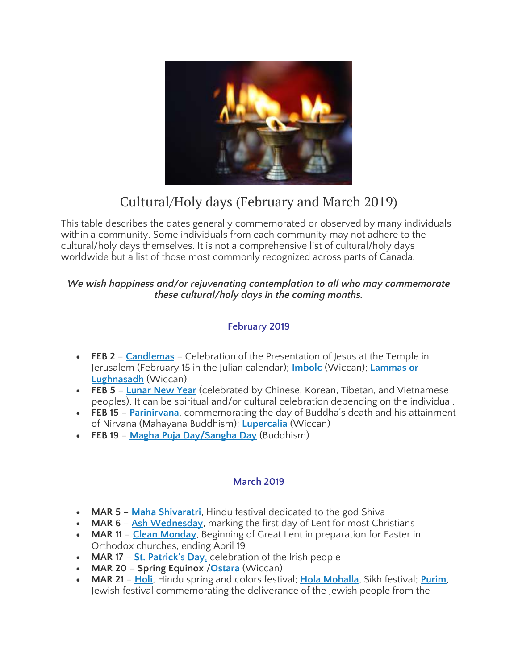

## Cultural/Holy days (February and March 2019)

This table describes the dates generally commemorated or observed by many individuals within a community. Some individuals from each community may not adhere to the cultural/holy days themselves. It is not a comprehensive list of cultural/holy days worldwide but a list of those most commonly recognized across parts of Canada.

#### *We wish happiness and/or rejuvenating contemplation to all who may commemorate these cultural/holy days in the coming months.*

#### **February 2019**

- **FEB 2 [Candlemas](http://www.bbc.co.uk/religion/religions/christianity/holydays/candlemas.shtml)** Celebration of the Presentation of Jesus at the Temple in Jerusalem (February 15 in the Julian calendar); **[Imbolc](https://www.thoughtco.com/guide-to-celebrating-imbolc-2562102)** (Wiccan); **[Lammas](https://www.thoughtco.com/paganism-wicca-rituals-and-ceremonies-4133122) or [Lughnasadh](https://www.thoughtco.com/paganism-wicca-rituals-and-ceremonies-4133122)** (Wiccan)
- **FEB 5 [Lunar](https://globalnews.ca/news/4925735/lunar-new-year-pictures-2019/) New Year** (celebrated by Chinese, Korean, Tibetan, and Vietnamese peoples). It can be spiritual and/or cultural celebration depending on the individual.
- **FEB 15 [Parinirvana](http://www.bbc.co.uk/religion/religions/buddhism/holydays/parinirvana.shtml)**, commemorating the day of Buddha's death and his attainment of Nirvana (Mahayana Buddhism); **[Lupercalia](https://www.thoughtco.com/the-roman-festival-of-lupercalia-121029)** (Wiccan)
- **FEB 19 Magha Puja [Day/Sangha](https://www.timeanddate.com/holidays/buddhist/magha-puja) Day** (Buddhism)

#### **March 2019**

- **MAR 5 Maha [Shivaratri](https://www.beliefnet.com/faiths/hinduism/what-is-maha-shivaratri.aspx)**, Hindu festival dedicated to the god Shiva
- **MAR 6 Ash [Wednesday](https://www.beliefnet.com/faiths/christianity/2001/02/ash-wednesday-primer.aspx)**, marking the first day of Lent for most Christians
- **MAR 11 Clean [Monday](https://www.thoughtco.com/what-is-clean-monday-542420)**, Beginning of Great Lent in preparation for Easter in Orthodox churches, ending April 19
- **MAR 17 St. [Patrick's](http://www.religionfacts.com/st-patricks-day) Day**, celebration of the Irish people
- **MAR 20 Spring Equinox** /**[Ostara](https://www.thoughtco.com/all-about-ostara-the-spring-equinox-2562471)** (Wiccan)
- **MAR 21 [Holi](https://www.independent.co.uk/news/world/holi-2018-festival-of-colours-india-facts-hindu-celebration-what-is-it-why-celebrated-a6947721.html)**, Hindu spring and colors festival; **Hola [Mohalla](http://www.sikhiwiki.org/index.php/Hola_Mahalla)**, Sikh festival; **[Purim](https://www.myjewishlearning.com/article/purim-2019/)**, Jewish festival commemorating the deliverance of the Jewish people from the